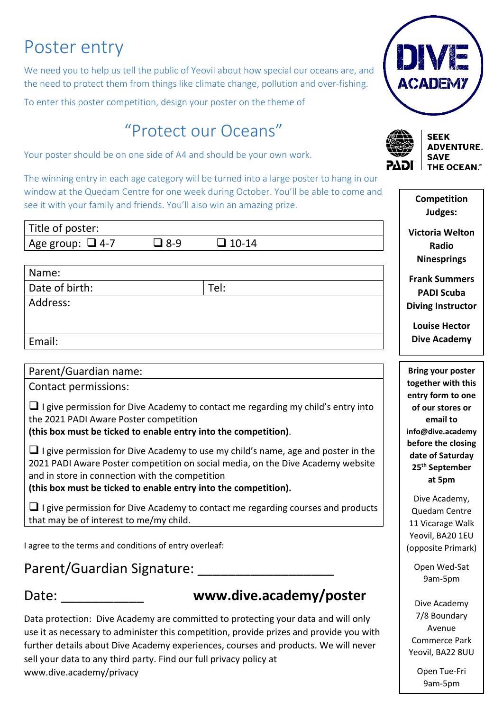# Poster entry

We need you to help us tell the public of Yeovil about how special our oceans are, and the need to protect them from things like climate change, pollution and over-fishing.

To enter this poster competition, design your poster on the theme of

## "Protect our Oceans"

Your poster should be on one side of A4 and should be your own work.

The winning entry in each age category will be turned into a large poster to hang in our window at the Quedam Centre for one week during October. You'll be able to come and see it with your family and friends. You'll also win an amazing prize.

| Title of poster:      |            |              | Victoria W          |
|-----------------------|------------|--------------|---------------------|
| Age group: $\Box$ 4-7 | $\Box$ 8-9 | $\Box$ 10-14 | Radio               |
|                       |            |              | Ninespri            |
| Name:                 |            |              | <b>Frank Sum</b>    |
| Date of birth:        |            | Tel:         | <b>PADI Scu</b>     |
| Address:              |            |              | <b>Diving Insti</b> |
|                       |            |              | <b>Louise He</b>    |
| Email:                |            |              | <b>Dive Acad</b>    |
|                       |            |              |                     |

#### Parent/Guardian name:

Contact permissions:

 $\Box$  I give permission for Dive Academy to contact me regarding my child's entry into the 2021 PADI Aware Poster competition

**(this box must be ticked to enable entry into the competition)**.

 $\Box$  I give permission for Dive Academy to use my child's name, age and poster in the 2021 PADI Aware Poster competition on social media, on the Dive Academy website and in store in connection with the competition

**(this box must be ticked to enable entry into the competition).**

 $\Box$  I give permission for Dive Academy to contact me regarding courses and products that may be of interest to me/my child.

I agree to the terms and conditions of entry overleaf:

#### Parent/Guardian Signature: **Example 2018**

#### Date:

#### **www.dive.academy/poster**

Data protection: Dive Academy are committed to protecting your data and will only use it as necessary to administer this competition, provide prizes and provide you with further details about Dive Academy experiences, courses and products. We will never sell your data to any third party. Find our full privacy policy at www.dive.academy/privacy





**SEEK ADVENTURE. SAVE THE OCEAN."** 

| Competition<br>Judges:                                                                                                                                                                                     |
|------------------------------------------------------------------------------------------------------------------------------------------------------------------------------------------------------------|
| <b>Victoria Welton</b><br>Radio<br><b>Ninesprings</b>                                                                                                                                                      |
| <b>Frank Summers</b><br><b>PADI Scuba</b><br><b>Diving Instructor</b>                                                                                                                                      |
| <b>Louise Hector</b><br><b>Dive Academy</b>                                                                                                                                                                |
| <b>Bring your poster</b><br>together with this<br>entry form to one<br>of our stores or<br>email to<br>info@dive.academy<br>before the closing<br>date of Saturday<br>25 <sup>th</sup> September<br>at 5pm |
| Dive Academy,<br>Quedam Centre<br>11 Vicarage Walk<br>Yeovil, BA20 1EU<br>(opposite Primark)                                                                                                               |
| Open Wed-Sat<br>9am-5pm                                                                                                                                                                                    |
|                                                                                                                                                                                                            |

Dive Academy 7/8 Boundary Avenue Commerce Park Yeovil, BA22 8UU

> Open Tue-Fri 9am-5pm